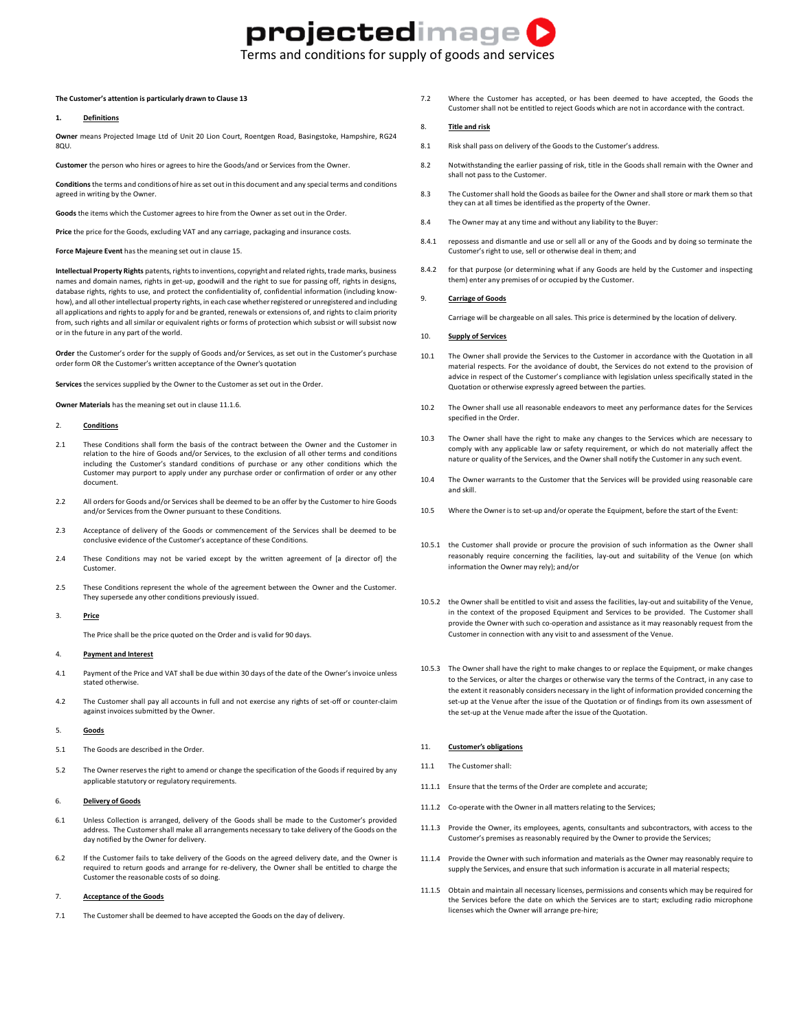# projectedimage

Terms and conditions for supply of goods and services

## **The Customer's attention is particularly drawn to Clause 13**

## **1. Definitions**

**Owner** means Projected Image Ltd of Unit 20 Lion Court, Roentgen Road, Basingstoke, Hampshire, RG24 8QU.

**Customer** the person who hires or agrees to hire the Goods/and or Services from the Owner.

**Conditions**the terms and conditions of hire as set out in this document and any special terms and conditions agreed in writing by the Owner.

**Goods** the items which the Customer agrees to hire from the Owner as set out in the Order.

**Price** the price for the Goods, excluding VAT and any carriage, packaging and insurance costs.

**Force Majeure Event** has the meaning set out in clause 15.

**Intellectual Property Rights** patents, rights to inventions, copyright and related rights, trade marks, business names and domain names, rights in get-up, goodwill and the right to sue for passing off, rights in designs, database rights, rights to use, and protect the confidentiality of, confidential information (including knowhow), and all other intellectual property rights, in each case whether registered or unregistered and including all applications and rights to apply for and be granted, renewals or extensions of, and rights to claim priority from, such rights and all similar or equivalent rights or forms of protection which subsist or will subsist now or in the future in any part of the world.

**Order** the Customer's order for the supply of Goods and/or Services, as set out in the Customer's purchase order form OR the Customer's written acceptance of the Owner's quotation

**Services** the services supplied by the Owner to the Customer as set out in the Order.

**Owner Materials** has the meaning set out in clause 11.1.6.

#### 2. **Conditions**

- 2.1 These Conditions shall form the basis of the contract between the Owner and the Customer in relation to the hire of Goods and/or Services, to the exclusion of all other terms and conditions including the Customer's standard conditions of purchase or any other conditions which the Customer may purport to apply under any purchase order or confirmation of order or any other document.
- 2.2 All orders for Goods and/or Services shall be deemed to be an offer by the Customer to hire Goods and/or Services from the Owner pursuant to these Conditions.
- 2.3 Acceptance of delivery of the Goods or commencement of the Services shall be deemed to be conclusive evidence of the Customer's acceptance of these Conditions.
- 2.4 These Conditions may not be varied except by the written agreement of [a director of] the Customer.
- 2.5 These Conditions represent the whole of the agreement between the Owner and the Customer. They supersede any other conditions previously issued.

### 3. **Price**

The Price shall be the price quoted on the Order and is valid for 90 days.

### 4. **Payment and Interest**

- 4.1 Payment of the Price and VAT shall be due within 30 days of the date of the Owner's invoice unless stated otherwise.
- 4.2 The Customer shall pay all accounts in full and not exercise any rights of set-off or counter-claim against invoices submitted by the Owner.

## 5. **Goods**

- 5.1 The Goods are described in the Order.
- 5.2 The Owner reserves the right to amend or change the specification of the Goods if required by any applicable statutory or regulatory requirements.

#### 6. **Delivery of Goods**

- 6.1 Unless Collection is arranged, delivery of the Goods shall be made to the Customer's provided address. The Customer shall make all arrangements necessary to take delivery of the Goods on the day notified by the Owner for delivery.
- 6.2 If the Customer fails to take delivery of the Goods on the agreed delivery date, and the Owner is required to return goods and arrange for re-delivery, the Owner shall be entitled to charge the Customer the reasonable costs of so doing.

#### 7. **Acceptance of the Goods**

7.1 The Customer shall be deemed to have accepted the Goods on the day of delivery.

7.2 Where the Customer has accepted, or has been deemed to have accepted, the Goods the Customer shall not be entitled to reject Goods which are not in accordance with the contract.

## 8. **Title and risk**

- 8.1 Risk shall pass on delivery of the Goods to the Customer's address.
- 8.2 Notwithstanding the earlier passing of risk, title in the Goods shall remain with the Owner and shall not pass to the Customer.
- 8.3 The Customer shall hold the Goods as bailee for the Owner and shall store or mark them so that they can at all times be identified as the property of the Owner.
- 8.4 The Owner may at any time and without any liability to the Buyer:
- 8.4.1 repossess and dismantle and use or sell all or any of the Goods and by doing so terminate the Customer's right to use, sell or otherwise deal in them; and
- 8.4.2 for that purpose (or determining what if any Goods are held by the Customer and inspecting them) enter any premises of or occupied by the Customer.

## 9. **Carriage of Goods**

Carriage will be chargeable on all sales. This price is determined by the location of delivery.

## 10. **Supply of Services**

- 10.1 The Owner shall provide the Services to the Customer in accordance with the Quotation in all material respects. For the avoidance of doubt, the Services do not extend to the provision of advice in respect of the Customer's compliance with legislation unless specifically stated in the Quotation or otherwise expressly agreed between the parties.
- 10.2 The Owner shall use all reasonable endeavors to meet any performance dates for the Services specified in the Order.
- 10.3 The Owner shall have the right to make any changes to the Services which are necessary to comply with any applicable law or safety requirement, or which do not materially affect the nature or quality of the Services, and the Owner shall notify the Customer in any such event.
- 10.4 The Owner warrants to the Customer that the Services will be provided using reasonable care and skill.
- 10.5 Where the Owner is to set-up and/or operate the Equipment, before the start of the Event:
- 10.5.1 the Customer shall provide or procure the provision of such information as the Owner shall reasonably require concerning the facilities, lay-out and suitability of the Venue (on which information the Owner may rely); and/or
- 10.5.2 the Owner shall be entitled to visit and assess the facilities, lay-out and suitability of the Venue, in the context of the proposed Equipment and Services to be provided. The Customer shall provide the Owner with such co-operation and assistance as it may reasonably request from the Customer in connection with any visit to and assessment of the Venue.
- 10.5.3 The Owner shall have the right to make changes to or replace the Equipment, or make changes to the Services, or alter the charges or otherwise vary the terms of the Contract, in any case to the extent it reasonably considers necessary in the light of information provided concerning the set-up at the Venue after the issue of the Quotation or of findings from its own assessment of the set-up at the Venue made after the issue of the Quotation.

#### 11. **Customer's obligations**

- 11.1 The Customer shall:
- 11.1.1 Ensure that the terms of the Order are complete and accurate;
- 11.1.2 Co-operate with the Owner in all matters relating to the Services;
- 11.1.3 Provide the Owner, its employees, agents, consultants and subcontractors, with access to the Customer's premises as reasonably required by the Owner to provide the Services;
- 11.1.4 Provide the Owner with such information and materials as the Owner may reasonably require to supply the Services, and ensure that such information is accurate in all material respects;
- 11.1.5 Obtain and maintain all necessary licenses, permissions and consents which may be required for the Services before the date on which the Services are to start; excluding radio microphone licenses which the Owner will arrange pre-hire;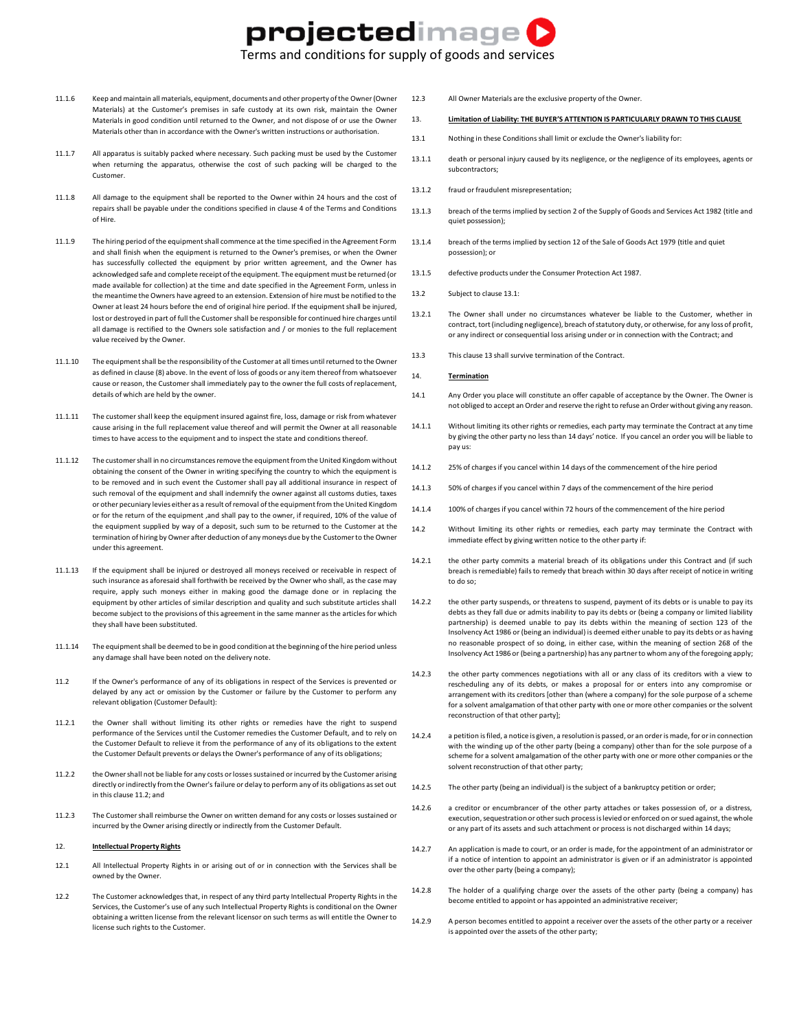## projectedimage

Terms and conditions for supply of goods and services

- 11.1.6 Keep and maintain all materials, equipment, documents and other property of the Owner(Owner Materials) at the Customer's premises in safe custody at its own risk, maintain the Owner Materials in good condition until returned to the Owner, and not dispose of or use the Owner Materials other than in accordance with the Owner's written instructions or authorisation.
- 11.1.7 All apparatus is suitably packed where necessary. Such packing must be used by the Customer when returning the apparatus, otherwise the cost of such packing will be charged to the Customer.
- 11.1.8 All damage to the equipment shall be reported to the Owner within 24 hours and the cost of repairs shall be payable under the conditions specified in clause 4 of the Terms and Conditions of Hire.
- 11.1.9 The hiring period of the equipment shall commence at the time specified in the Agreement Form and shall finish when the equipment is returned to the Owner's premises, or when the Owner has successfully collected the equipment by prior written agreement, and the Owner has acknowledged safe and complete receipt of the equipment. The equipment must be returned (or made available for collection) at the time and date specified in the Agreement Form, unless in the meantime the Owners have agreed to an extension. Extension of hire must be notified to the Owner at least 24 hours before the end of original hire period. If the equipment shall be injured, lost or destroyed in part of full the Customer shall be responsible for continued hire charges until all damage is rectified to the Owners sole satisfaction and / or monies to the full replacement value received by the Owner.
- 11.1.10 The equipment shall be the responsibility of the Customer at all times until returned to the Owner as defined in clause (8) above. In the event of loss of goods or any item thereof from whatsoever cause or reason, the Customer shall immediately pay to the owner the full costs of replacement, details of which are held by the owner.
- 11.1.11 The customer shall keep the equipment insured against fire, loss, damage or risk from whatever cause arising in the full replacement value thereof and will permit the Owner at all reasonable times to have access to the equipment and to inspect the state and conditions thereof.
- 11.1.12 The customershall in no circumstances remove the equipment from the United Kingdom without obtaining the consent of the Owner in writing specifying the country to which the equipment is to be removed and in such event the Customer shall pay all additional insurance in respect of such removal of the equipment and shall indemnify the owner against all customs duties, taxes or other pecuniary levies either as a result of removal of the equipment from the United Kingdom or for the return of the equipment ,and shall pay to the owner, if required, 10% of the value of the equipment supplied by way of a deposit, such sum to be returned to the Customer at the termination of hiring by Owner after deduction of any moneys due by the Customerto the Owner under this agreement.
- 11.1.13 If the equipment shall be injured or destroyed all moneys received or receivable in respect of such insurance as aforesaid shall forthwith be received by the Owner who shall, as the case may require, apply such moneys either in making good the damage done or in replacing the equipment by other articles of similar description and quality and such substitute articles shall become subject to the provisions of this agreement in the same manner as the articles for which they shall have been substituted.
- 11.1.14 The equipment shall be deemed to be in good condition at the beginning of the hire period unless any damage shall have been noted on the delivery note.
- 11.2 If the Owner's performance of any of its obligations in respect of the Services is prevented or delayed by any act or omission by the Customer or failure by the Customer to perform any relevant obligation (Customer Default):
- 11.2.1 the Owner shall without limiting its other rights or remedies have the right to suspend performance of the Services until the Customer remedies the Customer Default, and to rely on the Customer Default to relieve it from the performance of any of its obligations to the extent the Customer Default prevents or delays the Owner's performance of any of its obligations;
- 11.2.2 the Ownershall not be liable for any costs or losses sustained or incurred by the Customer arising directly or indirectly from the Owner's failure or delay to perform any of its obligations as set out in this clause 11.2; and
- 11.2.3 The Customer shall reimburse the Owner on written demand for any costs or losses sustained or incurred by the Owner arising directly or indirectly from the Customer Default.

#### 12. **Intellectual Property Rights**

- 12.1 All Intellectual Property Rights in or arising out of or in connection with the Services shall be owned by the Owner.
- 12.2 The Customer acknowledges that, in respect of any third party Intellectual Property Rights in the Services, the Customer's use of any such Intellectual Property Rights is conditional on the Owner obtaining a written license from the relevant licensor on such terms as will entitle the Owner to license such rights to the Customer.
- 12.3 All Owner Materials are the exclusive property of the Owner.
- 13. **Limitation of Liability: THE BUYER'S ATTENTION IS PARTICULARLY DRAWN TO THIS CLAUSE**
- 13.1 Nothing in these Conditions shall limit or exclude the Owner's liability for:
- 13.1.1 death or personal injury caused by its negligence, or the negligence of its employees, agents or subcontractors;
- 13.1.2 fraud or fraudulent misrepresentation;
- 13.1.3 breach of the terms implied by section 2 of the Supply of Goods and Services Act 1982 (title and quiet possession);
- 13.1.4 breach of the terms implied by section 12 of the Sale of Goods Act 1979 (title and quiet possession); or
- 13.1.5 defective products under the Consumer Protection Act 1987.
- 13.2 Subject to clause 13.1:
- 13.2.1 The Owner shall under no circumstances whatever be liable to the Customer, whether in contract, tort (including negligence), breach of statutory duty, or otherwise, for any loss of profit, or any indirect or consequential loss arising under or in connection with the Contract; and
- 13.3 This clause 13 shall survive termination of the Contract.

#### 14. **Termination**

- 14.1 Any Order you place will constitute an offer capable of acceptance by the Owner. The Owner is not obliged to accept an Order and reserve the right to refuse an Order without giving any reason.
- 14.1.1 Without limiting its other rights or remedies, each party may terminate the Contract at any time by giving the other party no less than 14 days' notice. If you cancel an order you will be liable to pay us:
- 14.1.2 25% of charges if you cancel within 14 days of the commencement of the hire period
- 14.1.3 50% of charges if you cancel within 7 days of the commencement of the hire period
- 14.1.4 100% of charges if you cancel within 72 hours of the commencement of the hire period
- 14.2 Without limiting its other rights or remedies, each party may terminate the Contract with immediate effect by giving written notice to the other party if:
- 14.2.1 the other party commits a material breach of its obligations under this Contract and (if such breach is remediable) fails to remedy that breach within 30 days after receipt of notice in writing to do so;
- 14.2.2 the other party suspends, or threatens to suspend, payment of its debts or is unable to pay its debts as they fall due or admits inability to pay its debts or (being a company or limited liability partnership) is deemed unable to pay its debts within the meaning of section 123 of the Insolvency Act 1986 or (being an individual) is deemed either unable to pay its debts or as having no reasonable prospect of so doing, in either case, within the meaning of section 268 of the Insolvency Act 1986 or (being a partnership) has any partner to whom any of the foregoing apply;
- 14.2.3 the other party commences negotiations with all or any class of its creditors with a view to rescheduling any of its debts, or makes a proposal for or enters into any compromise or arrangement with its creditors [other than (where a company) for the sole purpose of a scheme for a solvent amalgamation of that other party with one or more other companies or the solvent reconstruction of that other party];
- 14.2.4 a petition is filed, a notice is given, a resolution is passed, or an order is made, for or in connection with the winding up of the other party (being a company) other than for the sole purpose of a scheme for a solvent amalgamation of the other party with one or more other companies or the solvent reconstruction of that other party;
- 14.2.5 The other party (being an individual) is the subject of a bankruptcy petition or order;
- 14.2.6 a creditor or encumbrancer of the other party attaches or takes possession of, or a distress, execution, sequestration or other such process is levied or enforced on or sued against, the whole or any part of its assets and such attachment or process is not discharged within 14 days;
- 14.2.7 An application is made to court, or an order is made, for the appointment of an administrator or if a notice of intention to appoint an administrator is given or if an administrator is appointed over the other party (being a company);
- 14.2.8 The holder of a qualifying charge over the assets of the other party (being a company) has become entitled to appoint or has appointed an administrative receiver;
- 14.2.9 A person becomes entitled to appoint a receiver over the assets of the other party or a receiver is appointed over the assets of the other party;